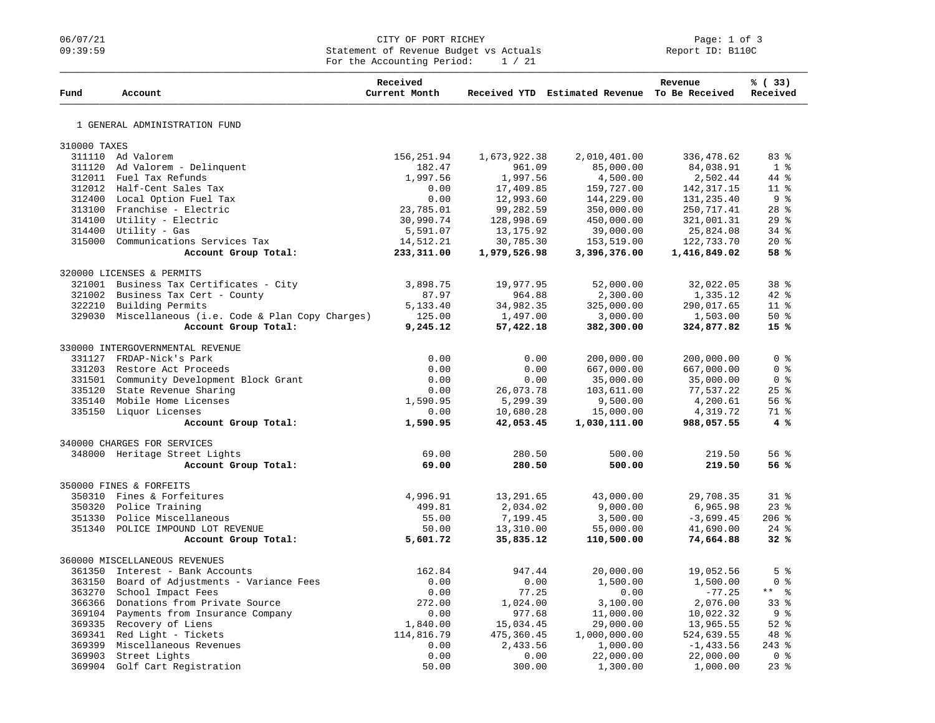### 06/07/21 CITY OF PORT RICHEY Page: 1 of 3 09:39:59 Statement of Revenue Budget vs Actuals Report ID: B110C For the Accounting Period:  $1 / 21$

| Fund         | Account                                              | Received<br>Current Month |              | Received YTD Estimated Revenue To Be Received | Revenue      | % (33)<br>Received            |
|--------------|------------------------------------------------------|---------------------------|--------------|-----------------------------------------------|--------------|-------------------------------|
|              | 1 GENERAL ADMINISTRATION FUND                        |                           |              |                                               |              |                               |
| 310000 TAXES |                                                      |                           |              |                                               |              |                               |
|              | 311110 Ad Valorem                                    | 156,251.94                | 1,673,922.38 | 2,010,401.00                                  | 336,478.62   | 83%                           |
|              | 311120 Ad Valorem - Delinquent                       | 182.47                    | 961.09       | 85,000.00                                     | 84,038.91    | 1 <sup>8</sup>                |
|              | 312011 Fuel Tax Refunds                              | 1,997.56                  | 1,997.56     | 4,500.00                                      | 2,502.44     | 44 %                          |
|              | 312012 Half-Cent Sales Tax                           | 0.00                      | 17,409.85    | 159,727.00                                    | 142, 317. 15 | 11 <sup>°</sup>               |
|              | 312400 Local Option Fuel Tax                         | 0.00                      | 12,993.60    | 144,229.00                                    | 131,235.40   | 9 %                           |
|              | 313100 Franchise - Electric                          | 23,785.01                 | 99,282.59    | 350,000.00                                    | 250, 717.41  | $28$ %                        |
|              | 314100 Utility - Electric                            | 30,990.74                 | 128,998.69   | 450,000.00                                    | 321,001.31   | 29%                           |
|              | 314400 Utility - Gas                                 | 5,591.07                  | 13,175.92    | 39,000.00                                     | 25,824.08    | $34$ $%$                      |
|              | 315000 Communications Services Tax                   | 14,512.21                 | 30,785.30    | 153,519.00                                    | 122,733.70   | $20*$                         |
|              | Account Group Total:                                 | 233,311.00                | 1,979,526.98 | 3,396,376.00                                  | 1,416,849.02 | 58 %                          |
|              | 320000 LICENSES & PERMITS                            |                           |              |                                               |              |                               |
|              | 321001 Business Tax Certificates - City              | 3,898.75                  | 19,977.95    | 52,000.00                                     | 32,022.05    | 38 %                          |
|              | 321002 Business Tax Cert - County                    | 87.97                     | 964.88       | 2,300.00                                      | 1,335.12     | $42*$                         |
|              | 322210 Building Permits                              | 5,133.40                  | 34,982.35    | 325,000.00                                    | 290,017.65   | 11 <sup>°</sup>               |
|              | 329030 Miscellaneous (i.e. Code & Plan Copy Charges) | 125.00                    | 1,497.00     | 3,000.00                                      | 1,503.00     | 50%                           |
|              | Account Group Total:                                 | 9,245.12                  | 57,422.18    | 382,300.00                                    | 324,877.82   | 15%                           |
|              | 330000 INTERGOVERNMENTAL REVENUE                     |                           |              |                                               |              |                               |
|              | 331127 FRDAP-Nick's Park                             | 0.00                      | 0.00         | 200,000.00                                    | 200,000.00   | 0 <sup>8</sup>                |
|              | 331203 Restore Act Proceeds                          | 0.00                      | 0.00         | 667,000.00                                    | 667,000.00   | 0 <sup>8</sup>                |
|              | 331501 Community Development Block Grant             | 0.00                      | 0.00         | 35,000.00                                     | 35,000.00    | 0 %                           |
|              | 335120 State Revenue Sharing                         | 0.00                      | 26,073.78    | 103,611.00                                    | 77,537.22    | 25%                           |
|              | 335140 Mobile Home Licenses                          | 1,590.95                  | 5,299.39     | 9,500.00                                      | 4,200.61     | 56%                           |
|              | 335150 Liquor Licenses                               | 0.00                      | 10,680.28    | 15,000.00                                     | 4,319.72     | 71 %                          |
|              | Account Group Total:                                 | 1,590.95                  | 42,053.45    | 1,030,111.00                                  | 988,057.55   | 4%                            |
|              | 340000 CHARGES FOR SERVICES                          |                           |              |                                               |              |                               |
|              | 348000 Heritage Street Lights                        | 69.00                     | 280.50       | 500.00                                        | 219.50       | 56%                           |
|              | Account Group Total:                                 | 69.00                     | 280.50       | 500.00                                        | 219.50       | 56%                           |
|              | 350000 FINES & FORFEITS                              |                           |              |                                               |              |                               |
|              | 350310 Fines & Forfeitures                           | 4,996.91                  | 13,291.65    | 43,000.00                                     | 29,708.35    | $31*$                         |
|              | 350320 Police Training                               | 499.81                    | 2,034.02     | 9,000.00                                      | 6,965.98     | $23$ $%$                      |
|              | 351330 Police Miscellaneous                          | 55.00                     | 7,199.45     | 3,500.00                                      | $-3,699.45$  | $206$ %                       |
|              | 351340 POLICE IMPOUND LOT REVENUE                    | 50.00                     | 13,310.00    | 55,000.00                                     | 41,690.00    | $24$ %                        |
|              | Account Group Total:                                 | 5,601.72                  | 35,835.12    | 110,500.00                                    | 74,664.88    | 32%                           |
|              | 360000 MISCELLANEOUS REVENUES                        |                           |              |                                               |              |                               |
|              | 361350 Interest - Bank Accounts                      | 162.84                    | 947.44       | 20,000.00                                     | 19,052.56    | 5 <sup>8</sup>                |
|              | 363150 Board of Adjustments - Variance Fees          | 0.00                      | 0.00         | 1,500.00                                      | 1,500.00     | 0 <sup>8</sup>                |
| 363270       | School Impact Fees                                   | 0.00                      | 77.25        | 0.00                                          | $-77.25$     | $\frac{6}{6}$<br>$\star\star$ |
|              | 366366 Donations from Private Source                 | 272.00                    | 1,024.00     | 3,100.00                                      | 2,076.00     | 33%                           |
|              | 369104 Payments from Insurance Company               | 0.00                      | 977.68       | 11,000.00                                     | 10,022.32    | 9 <sub>8</sub>                |
|              | 369335 Recovery of Liens                             | 1,840.00                  | 15,034.45    | 29,000.00                                     | 13,965.55    | $52$ $%$                      |
|              | 369341 Red Light - Tickets                           | 114,816.79                | 475,360.45   | 1,000,000.00                                  | 524,639.55   | 48 %                          |
|              | 369399 Miscellaneous Revenues                        | 0.00                      | 2,433.56     | 1,000.00                                      | $-1, 433.56$ | $243$ $%$                     |
|              | 369903 Street Lights                                 | 0.00                      | 0.00         | 22,000.00                                     | 22,000.00    | 0 <sup>8</sup>                |
|              | 369904 Golf Cart Registration                        | 50.00                     | 300.00       | 1,300.00                                      | 1,000.00     | $23*$                         |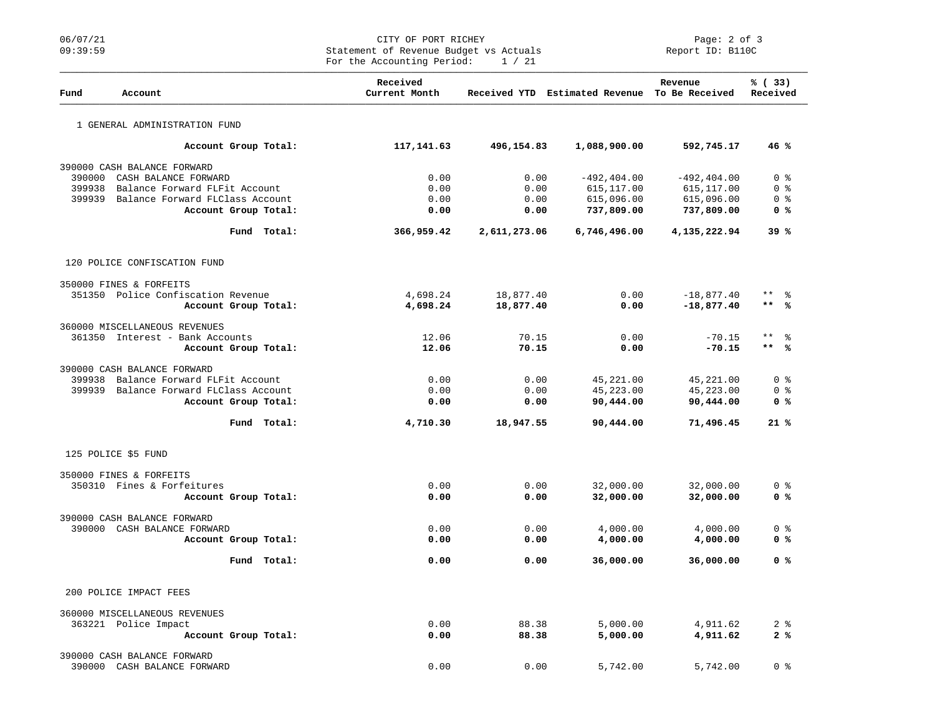# 06/07/21 CITY OF PORT RICHEY Page: 2 of 3<br>
Statement of Revenue Budget vs Actuals Report ID: B110C Statement of Revenue Budget vs Actuals For the Accounting Period: 1 / 21

| Fund   | Account                                | Received<br>Current Month |              | Received YTD Estimated Revenue To Be Received | Revenue        | % (33)<br>Received     |
|--------|----------------------------------------|---------------------------|--------------|-----------------------------------------------|----------------|------------------------|
|        | 1 GENERAL ADMINISTRATION FUND          |                           |              |                                               |                |                        |
|        | Account Group Total:                   | 117,141.63                | 496,154.83   | 1,088,900.00                                  | 592,745.17     | 46%                    |
|        | 390000 CASH BALANCE FORWARD            |                           |              |                                               |                |                        |
| 390000 | CASH BALANCE FORWARD                   | 0.00                      | 0.00         | $-492, 404.00$                                | $-492, 404.00$ | 0 <sub>8</sub>         |
| 399938 | Balance Forward FLFit Account          | 0.00                      | 0.00         | 615,117.00                                    | 615,117.00     | 0 <sup>8</sup>         |
| 399939 | Balance Forward FLClass Account        | 0.00                      | 0.00         | 615,096.00                                    | 615,096.00     | 0 <sub>8</sub>         |
|        | Account Group Total:                   | 0.00                      | 0.00         | 737,809.00                                    | 737,809.00     | 0 <sup>8</sup>         |
|        | Fund Total:                            | 366,959.42                | 2,611,273.06 | 6,746,496.00                                  | 4,135,222.94   | 39%                    |
|        | 120 POLICE CONFISCATION FUND           |                           |              |                                               |                |                        |
|        | 350000 FINES & FORFEITS                |                           |              |                                               |                |                        |
|        | 351350 Police Confiscation Revenue     | 4,698.24                  | 18,877.40    | 0.00                                          | $-18,877.40$   | $\star$ $\star$<br>- န |
|        | Account Group Total:                   | 4,698.24                  | 18,877.40    | 0.00                                          | $-18,877.40$   | $***$<br>ഀ             |
|        | 360000 MISCELLANEOUS REVENUES          |                           |              |                                               |                |                        |
|        | 361350 Interest - Bank Accounts        | 12.06                     | 70.15        | 0.00                                          | $-70.15$       | $\star$ $\star$<br>ႜ   |
|        | Account Group Total:                   | 12.06                     | 70.15        | 0.00                                          | $-70.15$       | $***$<br>ം             |
|        | 390000 CASH BALANCE FORWARD            |                           |              |                                               |                |                        |
| 399938 | Balance Forward FLFit Account          | 0.00                      | 0.00         | 45,221.00                                     | 45,221.00      | 0 %                    |
|        | 399939 Balance Forward FLClass Account | 0.00                      | 0.00         | 45,223.00                                     | 45,223.00      | 0 %                    |
|        | Account Group Total:                   | 0.00                      | 0.00         | 90,444.00                                     | 90,444.00      | 0 %                    |
|        | Fund Total:                            | 4,710.30                  | 18,947.55    | 90,444.00                                     | 71,496.45      | 21%                    |
|        | 125 POLICE \$5 FUND                    |                           |              |                                               |                |                        |
|        | 350000 FINES & FORFEITS                |                           |              |                                               |                |                        |
|        | 350310 Fines & Forfeitures             | 0.00                      | 0.00         | 32,000.00                                     | 32,000.00      | 0 <sup>8</sup>         |
|        | Account Group Total:                   | 0.00                      | 0.00         | 32,000.00                                     | 32,000.00      | 0 <sup>8</sup>         |
|        | 390000 CASH BALANCE FORWARD            |                           |              |                                               |                |                        |
|        | 390000 CASH BALANCE FORWARD            | 0.00                      | 0.00         | 4,000.00                                      | 4,000.00       | 0 <sup>8</sup>         |
|        | Account Group Total:                   | 0.00                      | 0.00         | 4,000.00                                      | 4,000.00       | 0 %                    |
|        | Fund Total:                            | 0.00                      | 0.00         | 36,000.00                                     | 36,000.00      | 0 %                    |
|        | 200 POLICE IMPACT FEES                 |                           |              |                                               |                |                        |
|        | 360000 MISCELLANEOUS REVENUES          |                           |              |                                               |                |                        |
|        | 363221 Police Impact                   | 0.00                      | 88.38        | 5,000.00                                      | 4,911.62       | 2 <sub>8</sub>         |
|        | Account Group Total:                   | 0.00                      | 88.38        | 5,000.00                                      | 4,911.62       | 2%                     |
|        | 390000 CASH BALANCE FORWARD            |                           |              |                                               |                |                        |
|        | 390000 CASH BALANCE FORWARD            | 0.00                      | 0.00         | 5,742.00                                      | 5,742.00       | 0 <sup>8</sup>         |